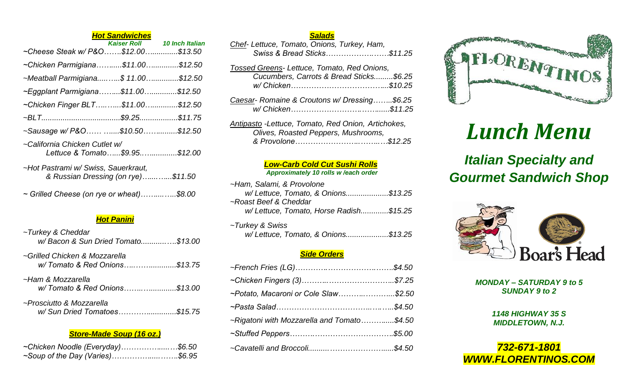|                                                                           | <b>Hot Sandwiches</b> |                             |
|---------------------------------------------------------------------------|-----------------------|-----------------------------|
|                                                                           |                       | Kaiser Roll 10 Inch Italian |
| ~Cheese Steak w/ P&O\$12.00\$13.50                                        |                       |                             |
| ~Chicken Parmigiana\$11.00\$12.50                                         |                       |                             |
| ~Meatball Parmigiana\$ 11.00\$12.50                                       |                       |                             |
| ~Eggplant Parmigiana\$11.00\$12.50                                        |                       |                             |
| ~Chicken Finger BLT\$11.00\$12.50                                         |                       |                             |
|                                                                           |                       |                             |
| ~Sausage w/ P&O \$10.50\$12.50                                            |                       |                             |
| ~California Chicken Cutlet w/<br>Lettuce & Tomato\$9.95\$12.00            |                       |                             |
| ~Hot Pastrami w/ Swiss, Sauerkraut,<br>& Russian Dressing (on rye)\$11.50 |                       |                             |

|  |  |  |  |  | ~ Grilled Cheese (on rye or wheat)\$8.00 |
|--|--|--|--|--|------------------------------------------|
|--|--|--|--|--|------------------------------------------|

# *Hot Panini*

| ~Turkey & Cheddar<br>w/Bacon & Sun Dried Tomato\$13.00        |  |
|---------------------------------------------------------------|--|
| ~Grilled Chicken & Mozzarella<br>w/Tomato & Red Onions\$13.75 |  |
| ~Ham & Mozzarella<br>w/Tomato & Red Onions\$13.00             |  |
| ~Prosciutto & Mozzarella<br>w/ Sun Dried Tomatoes\$15.75      |  |

# *Store-Made Soup (16 oz.)*

| ~Chicken Noodle (Everyday)\$6.50 |  |
|----------------------------------|--|
| ~Soup of the Day (Varies)\$6.95  |  |

# *Salads*

| Chef- Lettuce, Tomato, Onions, Turkey, Ham, |  |
|---------------------------------------------|--|
| Swiss & Bread Sticks\$11.25                 |  |

| Tossed Greens-Lettuce, Tomato, Red Onions, |       |
|--------------------------------------------|-------|
| Cucumbers, Carrots & Bread Sticks\$6.25    |       |
|                                            |       |
| Cossar Demoine & Croutane w/Dressing       | 60 OF |

- *Caesar- Romaine & Croutons w/ Dressing……..\$6.25 w/ Chicken……………………….……......\$11.25*
- *Antipasto -Lettuce, Tomato, Red Onion, Artichokes, Olives, Roasted Peppers, Mushrooms, & Provolone……………………..……..…\$12.25*

# *Low-Carb Cold Cut Sushi Rolls*

### *Approximately 10 rolls w /each order*

| ~Ham, Salami, & Provolone               |  |
|-----------------------------------------|--|
| w/ Lettuce, Tomato, & Onions\$13.25     |  |
| ~Roast Beef & Cheddar                   |  |
| w/ Lettuce, Tomato, Horse Radish\$15.25 |  |
|                                         |  |
| ~Turkey & Swiss                         |  |
| w/ Lettuce, Tomato, & Onions\$13.25     |  |

# *Side Orders*

| ~Potato, Macaroni or Cole Slaw\$2.50       |  |
|--------------------------------------------|--|
|                                            |  |
| ~Rigatoni with Mozzarella and Tomato\$4.50 |  |
|                                            |  |
|                                            |  |



# *Lunch Menu*

# *Italian Specialty and Gourmet Sandwich Shop*



*MONDAY – SATURDAY 9 to 5 SUNDAY 9 to 2*

> *1148 HIGHWAY 35 S MIDDLETOWN, N.J.*